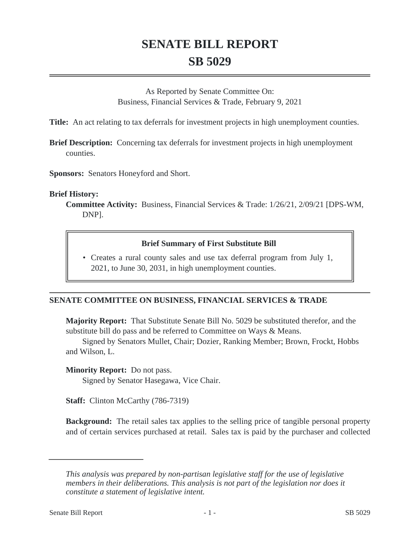# **SENATE BILL REPORT SB 5029**

As Reported by Senate Committee On: Business, Financial Services & Trade, February 9, 2021

**Title:** An act relating to tax deferrals for investment projects in high unemployment counties.

**Brief Description:** Concerning tax deferrals for investment projects in high unemployment counties.

**Sponsors:** Senators Honeyford and Short.

#### **Brief History:**

**Committee Activity:** Business, Financial Services & Trade: 1/26/21, 2/09/21 [DPS-WM, DNP].

#### **Brief Summary of First Substitute Bill**

• Creates a rural county sales and use tax deferral program from July 1, 2021, to June 30, 2031, in high unemployment counties.

### **SENATE COMMITTEE ON BUSINESS, FINANCIAL SERVICES & TRADE**

**Majority Report:** That Substitute Senate Bill No. 5029 be substituted therefor, and the substitute bill do pass and be referred to Committee on Ways & Means.

Signed by Senators Mullet, Chair; Dozier, Ranking Member; Brown, Frockt, Hobbs and Wilson, L.

**Minority Report:** Do not pass.

Signed by Senator Hasegawa, Vice Chair.

**Staff:** Clinton McCarthy (786-7319)

**Background:** The retail sales tax applies to the selling price of tangible personal property and of certain services purchased at retail. Sales tax is paid by the purchaser and collected

*This analysis was prepared by non-partisan legislative staff for the use of legislative members in their deliberations. This analysis is not part of the legislation nor does it constitute a statement of legislative intent.*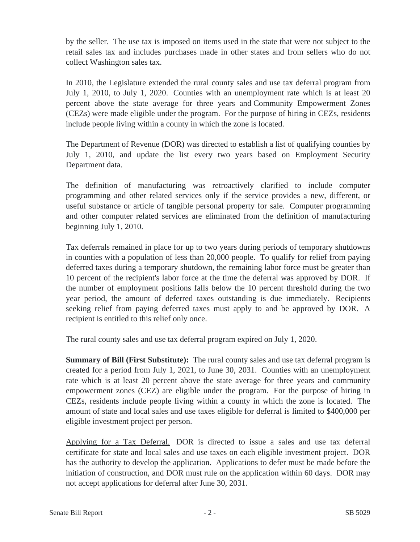by the seller. The use tax is imposed on items used in the state that were not subject to the retail sales tax and includes purchases made in other states and from sellers who do not collect Washington sales tax.

In 2010, the Legislature extended the rural county sales and use tax deferral program from July 1, 2010, to July 1, 2020. Counties with an unemployment rate which is at least 20 percent above the state average for three years and Community Empowerment Zones (CEZs) were made eligible under the program. For the purpose of hiring in CEZs, residents include people living within a county in which the zone is located.

The Department of Revenue (DOR) was directed to establish a list of qualifying counties by July 1, 2010, and update the list every two years based on Employment Security Department data.

The definition of manufacturing was retroactively clarified to include computer programming and other related services only if the service provides a new, different, or useful substance or article of tangible personal property for sale. Computer programming and other computer related services are eliminated from the definition of manufacturing beginning July 1, 2010.

Tax deferrals remained in place for up to two years during periods of temporary shutdowns in counties with a population of less than 20,000 people. To qualify for relief from paying deferred taxes during a temporary shutdown, the remaining labor force must be greater than 10 percent of the recipient's labor force at the time the deferral was approved by DOR. If the number of employment positions falls below the 10 percent threshold during the two year period, the amount of deferred taxes outstanding is due immediately. Recipients seeking relief from paying deferred taxes must apply to and be approved by DOR. A recipient is entitled to this relief only once.

The rural county sales and use tax deferral program expired on July 1, 2020.

**Summary of Bill (First Substitute):** The rural county sales and use tax deferral program is created for a period from July 1, 2021, to June 30, 2031. Counties with an unemployment rate which is at least 20 percent above the state average for three years and community empowerment zones (CEZ) are eligible under the program. For the purpose of hiring in CEZs, residents include people living within a county in which the zone is located. The amount of state and local sales and use taxes eligible for deferral is limited to \$400,000 per eligible investment project per person.

Applying for a Tax Deferral. DOR is directed to issue a sales and use tax deferral certificate for state and local sales and use taxes on each eligible investment project. DOR has the authority to develop the application. Applications to defer must be made before the initiation of construction, and DOR must rule on the application within 60 days. DOR may not accept applications for deferral after June 30, 2031.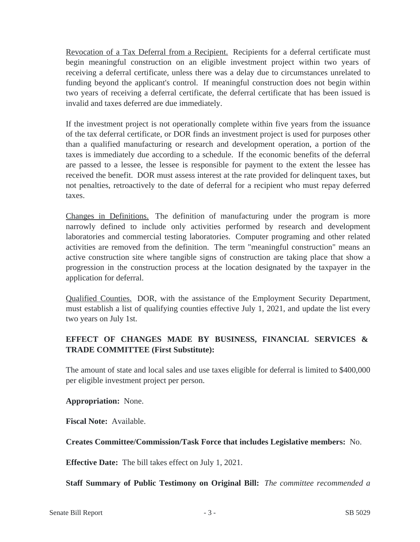Revocation of a Tax Deferral from a Recipient. Recipients for a deferral certificate must begin meaningful construction on an eligible investment project within two years of receiving a deferral certificate, unless there was a delay due to circumstances unrelated to funding beyond the applicant's control. If meaningful construction does not begin within two years of receiving a deferral certificate, the deferral certificate that has been issued is invalid and taxes deferred are due immediately.

If the investment project is not operationally complete within five years from the issuance of the tax deferral certificate, or DOR finds an investment project is used for purposes other than a qualified manufacturing or research and development operation, a portion of the taxes is immediately due according to a schedule. If the economic benefits of the deferral are passed to a lessee, the lessee is responsible for payment to the extent the lessee has received the benefit. DOR must assess interest at the rate provided for delinquent taxes, but not penalties, retroactively to the date of deferral for a recipient who must repay deferred taxes.

Changes in Definitions. The definition of manufacturing under the program is more narrowly defined to include only activities performed by research and development laboratories and commercial testing laboratories. Computer programing and other related activities are removed from the definition. The term "meaningful construction" means an active construction site where tangible signs of construction are taking place that show a progression in the construction process at the location designated by the taxpayer in the application for deferral.

Qualified Counties. DOR, with the assistance of the Employment Security Department, must establish a list of qualifying counties effective July 1, 2021, and update the list every two years on July 1st.

## **EFFECT OF CHANGES MADE BY BUSINESS, FINANCIAL SERVICES & TRADE COMMITTEE (First Substitute):**

The amount of state and local sales and use taxes eligible for deferral is limited to \$400,000 per eligible investment project per person.

**Appropriation:** None.

**Fiscal Note:** Available.

**Creates Committee/Commission/Task Force that includes Legislative members:** No.

**Effective Date:** The bill takes effect on July 1, 2021.

**Staff Summary of Public Testimony on Original Bill:** *The committee recommended a*